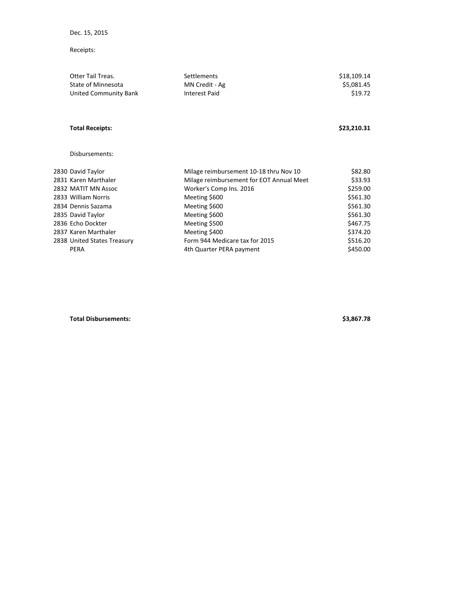## Receipts:

| Otter Tail Treas.           | Settlements                              | \$18,109.14 |
|-----------------------------|------------------------------------------|-------------|
| <b>State of Minnesota</b>   | MN Credit - Ag                           | \$5,081.45  |
| United Community Bank       | <b>Interest Paid</b>                     | \$19.72     |
|                             |                                          |             |
| <b>Total Receipts:</b>      |                                          | \$23,210.31 |
| Disbursements:              |                                          |             |
| 2830 David Taylor           | Milage reimbursement 10-18 thru Nov 10   | \$82.80     |
| 2831 Karen Marthaler        | Milage reimbursement for EOT Annual Meet | \$33.93     |
| 2832 MATIT MN Assoc         | Worker's Comp Ins. 2016                  | \$259.00    |
| 2833 William Norris         | Meeting \$600                            | \$561.30    |
| 2834 Dennis Sazama          | Meeting \$600                            | \$561.30    |
| 2835 David Taylor           | Meeting \$600                            | \$561.30    |
| 2836 Echo Dockter           | Meeting \$500                            | \$467.75    |
| 2837 Karen Marthaler        | Meeting \$400                            | \$374.20    |
| 2838 United States Treasury | Form 944 Medicare tax for 2015           | \$516.20    |
| <b>PERA</b>                 | 4th Quarter PERA payment                 | \$450.00    |

**Total Disbursements: \$3,867.78**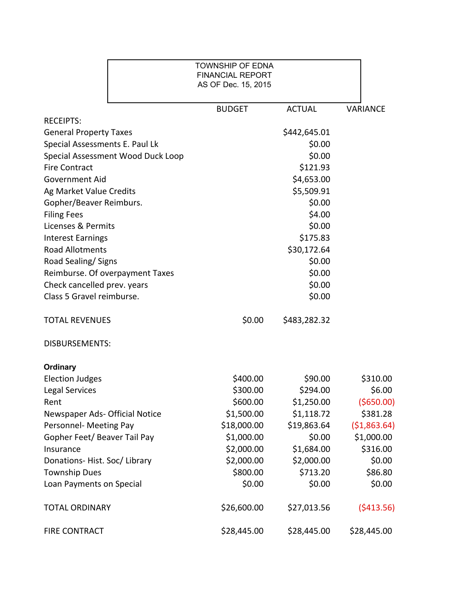|                                   | <b>TOWNSHIP OF EDNA</b><br><b>FINANCIAL REPORT</b><br>AS OF Dec. 15, 2015 |               |                 |
|-----------------------------------|---------------------------------------------------------------------------|---------------|-----------------|
|                                   | <b>BUDGET</b>                                                             | <b>ACTUAL</b> | <b>VARIANCE</b> |
| <b>RECEIPTS:</b>                  |                                                                           |               |                 |
| <b>General Property Taxes</b>     |                                                                           | \$442,645.01  |                 |
| Special Assessments E. Paul Lk    |                                                                           | \$0.00        |                 |
| Special Assessment Wood Duck Loop |                                                                           | \$0.00        |                 |
| <b>Fire Contract</b>              |                                                                           | \$121.93      |                 |
| <b>Government Aid</b>             |                                                                           | \$4,653.00    |                 |
| Ag Market Value Credits           |                                                                           | \$5,509.91    |                 |
| Gopher/Beaver Reimburs.           |                                                                           | \$0.00        |                 |
| <b>Filing Fees</b>                |                                                                           | \$4.00        |                 |
| Licenses & Permits                |                                                                           | \$0.00        |                 |
| <b>Interest Earnings</b>          |                                                                           | \$175.83      |                 |
| <b>Road Allotments</b>            |                                                                           | \$30,172.64   |                 |
| Road Sealing/Signs                |                                                                           | \$0.00        |                 |
| Reimburse. Of overpayment Taxes   |                                                                           | \$0.00        |                 |
| Check cancelled prev. years       |                                                                           | \$0.00        |                 |
| Class 5 Gravel reimburse.         |                                                                           | \$0.00        |                 |
| <b>TOTAL REVENUES</b>             | \$0.00                                                                    | \$483,282.32  |                 |
| DISBURSEMENTS:                    |                                                                           |               |                 |
| Ordinary                          |                                                                           |               |                 |
| <b>Election Judges</b>            | \$400.00                                                                  | \$90.00       | \$310.00        |
| Legal Services                    | \$300.00                                                                  | \$294.00      | \$6.00          |
| Rent                              | \$600.00                                                                  | \$1,250.00    | ( \$650.00)     |
| Newspaper Ads- Official Notice    | \$1,500.00                                                                | \$1,118.72    | \$381.28        |
| Personnel- Meeting Pay            | \$18,000.00                                                               | \$19,863.64   | ( \$1,863.64)   |
| Gopher Feet/ Beaver Tail Pay      | \$1,000.00                                                                | \$0.00        | \$1,000.00      |
| Insurance                         | \$2,000.00                                                                | \$1,684.00    | \$316.00        |
| Donations-Hist. Soc/Library       | \$2,000.00                                                                | \$2,000.00    | \$0.00          |
| <b>Township Dues</b>              | \$800.00                                                                  | \$713.20      | \$86.80         |
| Loan Payments on Special          | \$0.00                                                                    | \$0.00        | \$0.00          |
| <b>TOTAL ORDINARY</b>             | \$26,600.00                                                               | \$27,013.56   | (5413.56)       |
| <b>FIRE CONTRACT</b>              | \$28,445.00                                                               | \$28,445.00   | \$28,445.00     |